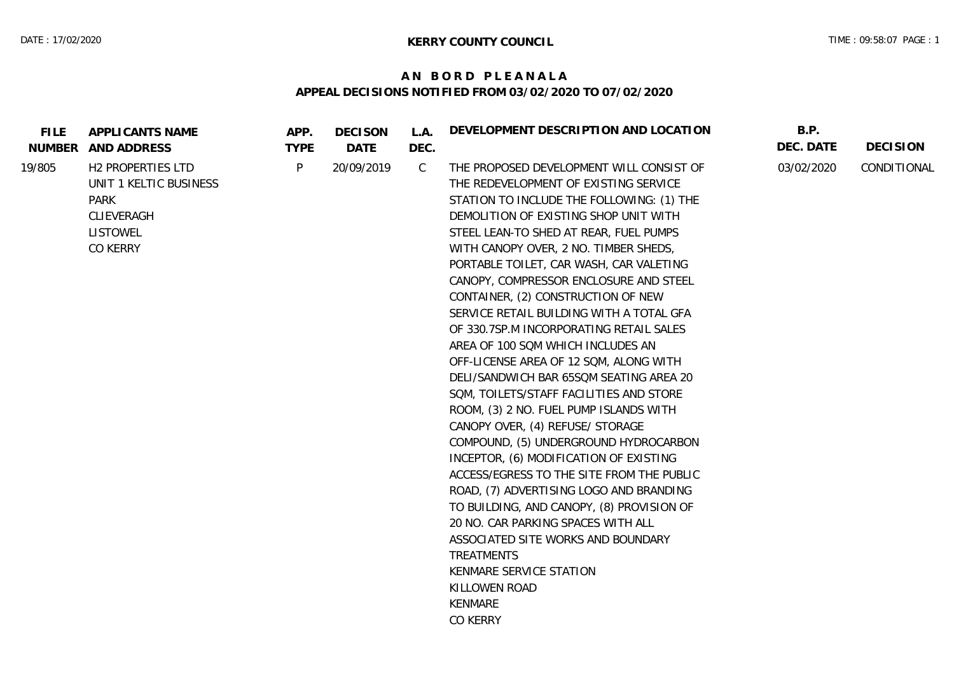## **A N B O R D P L E A N A L A APPEAL DECISIONS NOTIFIED FROM 03/02/2020 TO 07/02/2020**

| <b>FILE</b><br>NUMBER | APPLICANTS NAME<br>AND ADDRESS | APP.<br><b>TYPE</b> | <b>DECISON</b><br>DATE | L.A.<br>DEC. | DEVELOPMENT DESCRIPTION AND LOCATION      | B.P.<br>DEC. DATE | <b>DECISION</b> |
|-----------------------|--------------------------------|---------------------|------------------------|--------------|-------------------------------------------|-------------------|-----------------|
| 19/805                | H2 PROPERTIES LTD              | P                   | 20/09/2019             | $\mathsf{C}$ | THE PROPOSED DEVELOPMENT WILL CONSIST OF  | 03/02/2020        | CONDITIONAL     |
|                       | UNIT 1 KELTIC BUSINESS         |                     |                        |              | THE REDEVELOPMENT OF EXISTING SERVICE     |                   |                 |
|                       | PARK                           |                     |                        |              | STATION TO INCLUDE THE FOLLOWING: (1) THE |                   |                 |
|                       | CLIEVERAGH                     |                     |                        |              | DEMOLITION OF EXISTING SHOP UNIT WITH     |                   |                 |
|                       | <b>LISTOWEL</b>                |                     |                        |              | STEEL LEAN-TO SHED AT REAR, FUEL PUMPS    |                   |                 |
|                       | CO KERRY                       |                     |                        |              | WITH CANOPY OVER, 2 NO. TIMBER SHEDS,     |                   |                 |
|                       |                                |                     |                        |              | PORTABLE TOILET, CAR WASH, CAR VALETING   |                   |                 |
|                       |                                |                     |                        |              | CANOPY, COMPRESSOR ENCLOSURE AND STEEL    |                   |                 |
|                       |                                |                     |                        |              | CONTAINER, (2) CONSTRUCTION OF NEW        |                   |                 |
|                       |                                |                     |                        |              | SERVICE RETAIL BUILDING WITH A TOTAL GFA  |                   |                 |
|                       |                                |                     |                        |              | OF 330.7SP.M INCORPORATING RETAIL SALES   |                   |                 |
|                       |                                |                     |                        |              | AREA OF 100 SQM WHICH INCLUDES AN         |                   |                 |
|                       |                                |                     |                        |              | OFF-LICENSE AREA OF 12 SQM, ALONG WITH    |                   |                 |
|                       |                                |                     |                        |              | DELI/SANDWICH BAR 65SQM SEATING AREA 20   |                   |                 |
|                       |                                |                     |                        |              | SQM, TOILETS/STAFF FACILITIES AND STORE   |                   |                 |
|                       |                                |                     |                        |              | ROOM, (3) 2 NO. FUEL PUMP ISLANDS WITH    |                   |                 |
|                       |                                |                     |                        |              | CANOPY OVER, (4) REFUSE/ STORAGE          |                   |                 |
|                       |                                |                     |                        |              | COMPOUND, (5) UNDERGROUND HYDROCARBON     |                   |                 |
|                       |                                |                     |                        |              | INCEPTOR, (6) MODIFICATION OF EXISTING    |                   |                 |
|                       |                                |                     |                        |              | ACCESS/EGRESS TO THE SITE FROM THE PUBLIC |                   |                 |
|                       |                                |                     |                        |              | ROAD, (7) ADVERTISING LOGO AND BRANDING   |                   |                 |
|                       |                                |                     |                        |              | TO BUILDING, AND CANOPY, (8) PROVISION OF |                   |                 |
|                       |                                |                     |                        |              | 20 NO. CAR PARKING SPACES WITH ALL        |                   |                 |
|                       |                                |                     |                        |              | ASSOCIATED SITE WORKS AND BOUNDARY        |                   |                 |
|                       |                                |                     |                        |              | TREATMENTS                                |                   |                 |
|                       |                                |                     |                        |              | KENMARE SERVICE STATION                   |                   |                 |
|                       |                                |                     |                        |              | KILLOWEN ROAD                             |                   |                 |
|                       |                                |                     |                        |              | KENMARE                                   |                   |                 |
|                       |                                |                     |                        |              | CO KERRY                                  |                   |                 |
|                       |                                |                     |                        |              |                                           |                   |                 |